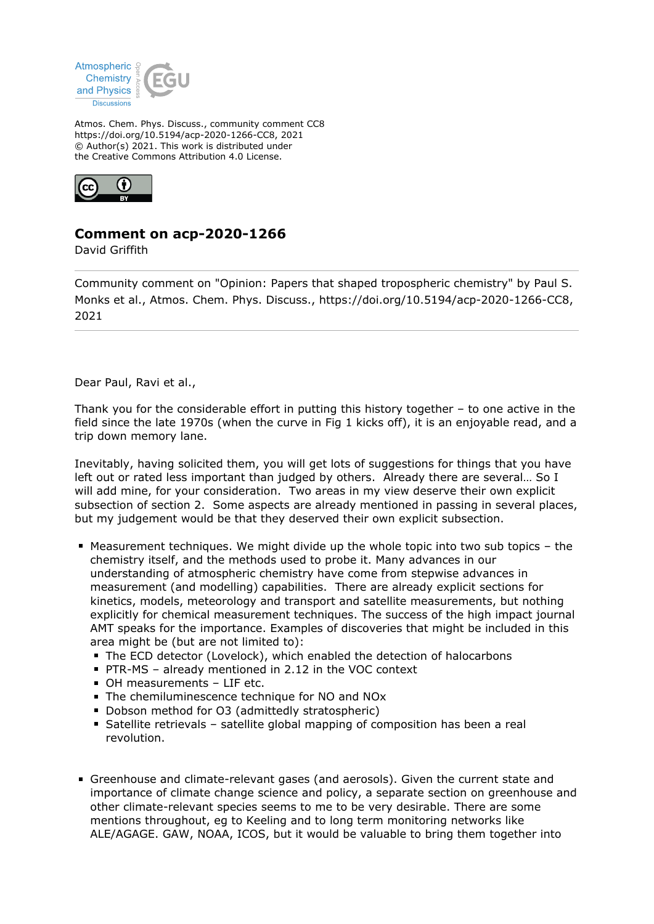

Atmos. Chem. Phys. Discuss., community comment CC8 https://doi.org/10.5194/acp-2020-1266-CC8, 2021 © Author(s) 2021. This work is distributed under the Creative Commons Attribution 4.0 License.



## **Comment on acp-2020-1266**

David Griffith

Community comment on "Opinion: Papers that shaped tropospheric chemistry" by Paul S. Monks et al., Atmos. Chem. Phys. Discuss., https://doi.org/10.5194/acp-2020-1266-CC8, 2021

Dear Paul, Ravi et al.,

Thank you for the considerable effort in putting this history together – to one active in the field since the late 1970s (when the curve in Fig 1 kicks off), it is an enjoyable read, and a trip down memory lane.

Inevitably, having solicited them, you will get lots of suggestions for things that you have left out or rated less important than judged by others. Already there are several… So I will add mine, for your consideration. Two areas in my view deserve their own explicit subsection of section 2. Some aspects are already mentioned in passing in several places, but my judgement would be that they deserved their own explicit subsection.

- Measurement techniques. We might divide up the whole topic into two sub topics the chemistry itself, and the methods used to probe it. Many advances in our understanding of atmospheric chemistry have come from stepwise advances in measurement (and modelling) capabilities. There are already explicit sections for kinetics, models, meteorology and transport and satellite measurements, but nothing explicitly for chemical measurement techniques. The success of the high impact journal AMT speaks for the importance. Examples of discoveries that might be included in this area might be (but are not limited to):
	- The ECD detector (Lovelock), which enabled the detection of halocarbons
	- PTR-MS already mentioned in 2.12 in the VOC context
	- OH measurements LIF etc.
	- The chemiluminescence technique for NO and NO<sub>x</sub>
	- Dobson method for O3 (admittedly stratospheric)
	- Satellite retrievals satellite global mapping of composition has been a real revolution.
- Greenhouse and climate-relevant gases (and aerosols). Given the current state and importance of climate change science and policy, a separate section on greenhouse and other climate-relevant species seems to me to be very desirable. There are some mentions throughout, eg to Keeling and to long term monitoring networks like ALE/AGAGE. GAW, NOAA, ICOS, but it would be valuable to bring them together into